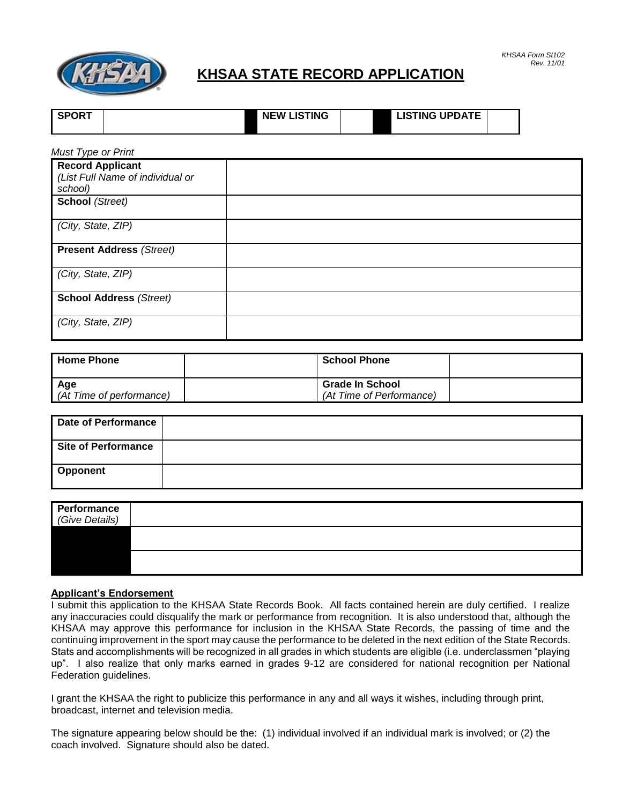

## **KHSAA STATE RECORD APPLICATION**

| KHSAA Form S1102 |            |
|------------------|------------|
|                  | Rev. 11/01 |

| <b>SPORT</b> | <b>NEW LISTING</b> | <b>LISTING UPDATE</b> |  |
|--------------|--------------------|-----------------------|--|
|              |                    |                       |  |

| <b>Must Type or Print</b>                                   |  |
|-------------------------------------------------------------|--|
| <b>Record Applicant</b><br>(List Full Name of individual or |  |
| school)                                                     |  |
| School (Street)                                             |  |
| (City, State, ZIP)                                          |  |
| <b>Present Address (Street)</b>                             |  |
| (City, State, ZIP)                                          |  |
| <b>School Address (Street)</b>                              |  |
| (City, State, ZIP)                                          |  |

| l Home Phone             | <b>School Phone</b>      |  |
|--------------------------|--------------------------|--|
| <b>Age</b>               | <b>Grade In School</b>   |  |
| (At Time of performance) | (At Time of Performance) |  |

| Date of Performance |  |
|---------------------|--|
| Site of Performance |  |
| Opponent            |  |

| Performance<br>(Give Details) |  |  |
|-------------------------------|--|--|
|                               |  |  |
|                               |  |  |

## **Applicant's Endorsement**

I submit this application to the KHSAA State Records Book. All facts contained herein are duly certified. I realize any inaccuracies could disqualify the mark or performance from recognition. It is also understood that, although the KHSAA may approve this performance for inclusion in the KHSAA State Records, the passing of time and the continuing improvement in the sport may cause the performance to be deleted in the next edition of the State Records. Stats and accomplishments will be recognized in all grades in which students are eligible (i.e. underclassmen "playing up". I also realize that only marks earned in grades 9-12 are considered for national recognition per National Federation guidelines.

I grant the KHSAA the right to publicize this performance in any and all ways it wishes, including through print, broadcast, internet and television media.

The signature appearing below should be the: (1) individual involved if an individual mark is involved; or (2) the coach involved. Signature should also be dated.